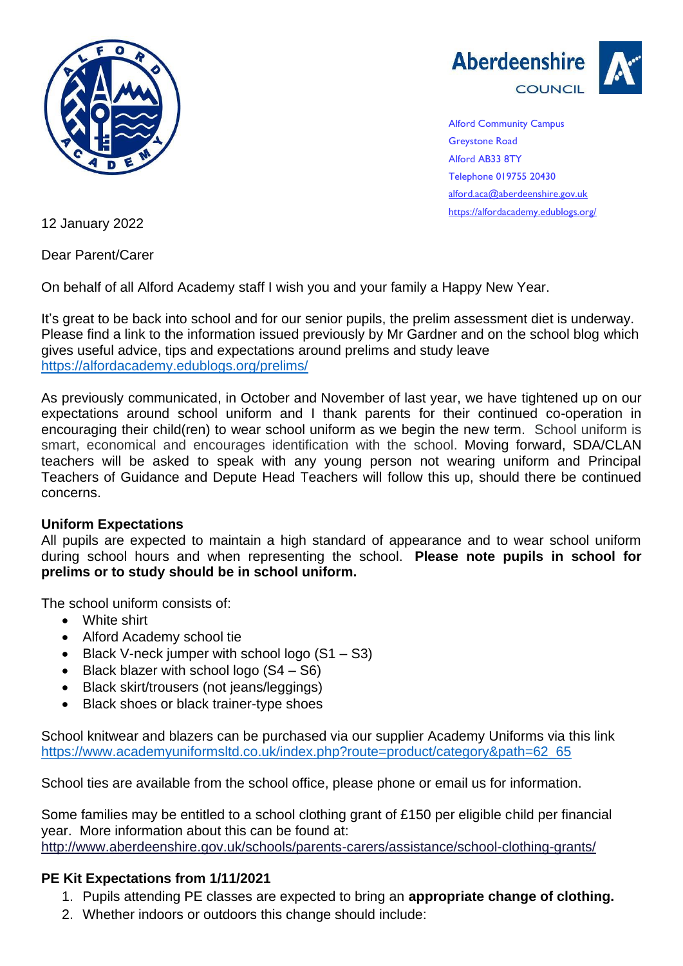



Alford Community Campus Greystone Road Alford AB33 8TY Telephone 019755 20430 [alford.aca@aberdeenshire.gov.uk](mailto:alford.aca@aberdeenshire.gov.uk) <https://alfordacademy.edublogs.org/>

12 January 2022

Dear Parent/Carer

On behalf of all Alford Academy staff I wish you and your family a Happy New Year.

It's great to be back into school and for our senior pupils, the prelim assessment diet is underway. Please find a link to the information issued previously by Mr Gardner and on the school blog which gives useful advice, tips and expectations around prelims and study leave <https://alfordacademy.edublogs.org/prelims/>

As previously communicated, in October and November of last year, we have tightened up on our expectations around school uniform and I thank parents for their continued co-operation in encouraging their child(ren) to wear school uniform as we begin the new term. School uniform is smart, economical and encourages identification with the school. Moving forward, SDA/CLAN teachers will be asked to speak with any young person not wearing uniform and Principal Teachers of Guidance and Depute Head Teachers will follow this up, should there be continued concerns.

## **Uniform Expectations**

All pupils are expected to maintain a high standard of appearance and to wear school uniform during school hours and when representing the school. **Please note pupils in school for prelims or to study should be in school uniform.** 

The school uniform consists of:

- White shirt
- Alford Academy school tie
- Black V-neck jumper with school logo (S1 S3)
- Black blazer with school logo  $(S4 S6)$
- Black skirt/trousers (not jeans/leggings)
- Black shoes or black trainer-type shoes

School knitwear and blazers can be purchased via our supplier Academy Uniforms via this link [https://www.academyuniformsltd.co.uk/index.php?route=product/category&path=62\\_65](https://www.academyuniformsltd.co.uk/index.php?route=product/category&path=62_65)

School ties are available from the school office, please phone or email us for information.

Some families may be entitled to a school clothing grant of £150 per eligible child per financial year. More information about this can be found at: <http://www.aberdeenshire.gov.uk/schools/parents-carers/assistance/school-clothing-grants/>

## **PE Kit Expectations from 1/11/2021**

- 1. Pupils attending PE classes are expected to bring an **appropriate change of clothing.**
- 2. Whether indoors or outdoors this change should include: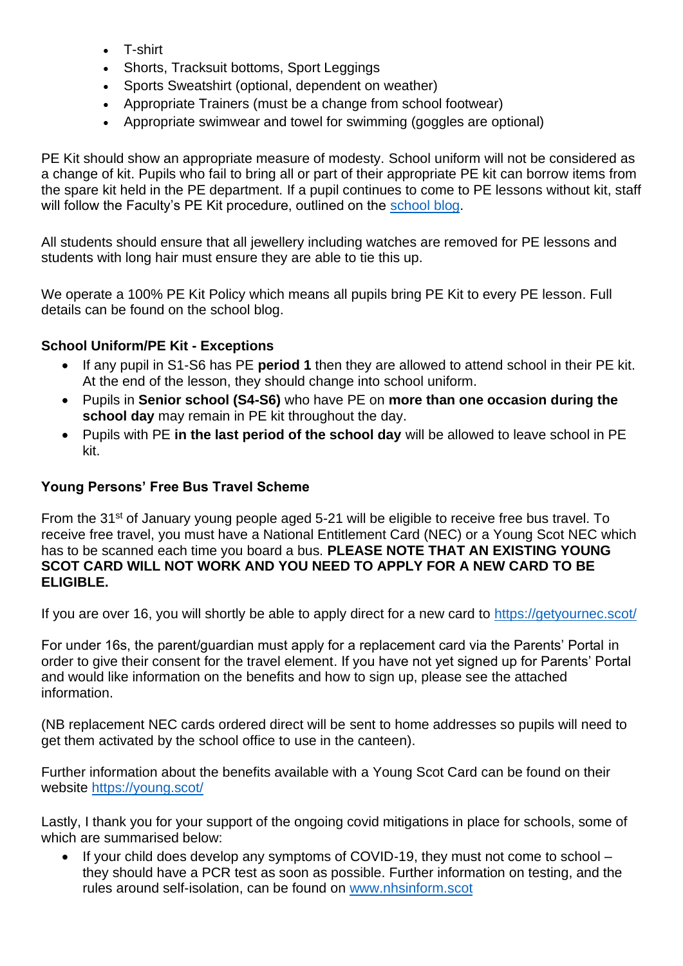- T-shirt
- Shorts, Tracksuit bottoms, Sport Leggings
- Sports Sweatshirt (optional, dependent on weather)
- Appropriate Trainers (must be a change from school footwear)
- Appropriate swimwear and towel for swimming (goggles are optional)

PE Kit should show an appropriate measure of modesty. School uniform will not be considered as a change of kit. Pupils who fail to bring all or part of their appropriate PE kit can borrow items from the spare kit held in the PE department. If a pupil continues to come to PE lessons without kit, staff will follow the Faculty's PE Kit procedure, outlined on the [school blog.](https://alfordacademy.edublogs.org/pe-and-health/)

All students should ensure that all jewellery including watches are removed for PE lessons and students with long hair must ensure they are able to tie this up.

We operate a 100% PE Kit Policy which means all pupils bring PE Kit to every PE lesson. Full details can be found on the school blog.

## **School Uniform/PE Kit - Exceptions**

- If any pupil in S1-S6 has PE **period 1** then they are allowed to attend school in their PE kit. At the end of the lesson, they should change into school uniform.
- Pupils in **Senior school (S4-S6)** who have PE on **more than one occasion during the school day** may remain in PE kit throughout the day.
- Pupils with PE **in the last period of the school day** will be allowed to leave school in PE kit.

## **Young Persons' Free Bus Travel Scheme**

From the 31<sup>st</sup> of January young people aged 5-21 will be eligible to receive free bus travel. To receive free travel, you must have a National Entitlement Card (NEC) or a Young Scot NEC which has to be scanned each time you board a bus. **PLEASE NOTE THAT AN EXISTING YOUNG SCOT CARD WILL NOT WORK AND YOU NEED TO APPLY FOR A NEW CARD TO BE ELIGIBLE.**

If you are over 16, you will shortly be able to apply direct for a new card to <https://getyournec.scot/>

For under 16s, the parent/guardian must apply for a replacement card via the Parents' Portal in order to give their consent for the travel element. If you have not yet signed up for Parents' Portal and would like information on the benefits and how to sign up, please see the attached information.

(NB replacement NEC cards ordered direct will be sent to home addresses so pupils will need to get them activated by the school office to use in the canteen).

Further information about the benefits available with a Young Scot Card can be found on their website<https://young.scot/>

Lastly, I thank you for your support of the ongoing covid mitigations in place for schools, some of which are summarised below:

• If your child does develop any symptoms of COVID-19, they must not come to school – they should have a PCR test as soon as possible. Further information on testing, and the rules around self-isolation, can be found on [www.nhsinform.scot](http://www.nhsinform.scot/)